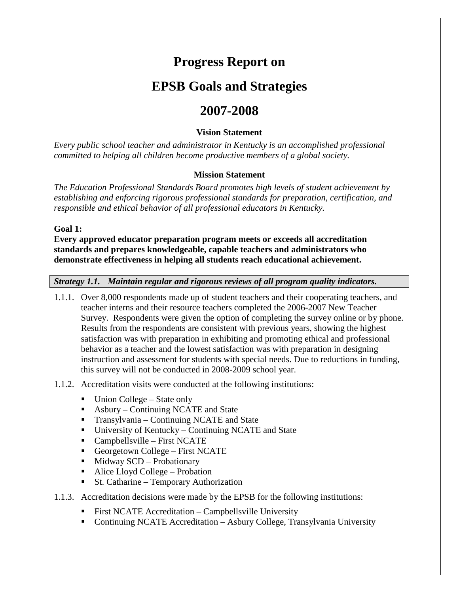# **Progress Report on**

## **EPSB Goals and Strategies**

## **2007-2008**

#### **Vision Statement**

*Every public school teacher and administrator in Kentucky is an accomplished professional committed to helping all children become productive members of a global society.* 

#### **Mission Statement**

*The Education Professional Standards Board promotes high levels of student achievement by establishing and enforcing rigorous professional standards for preparation, certification, and responsible and ethical behavior of all professional educators in Kentucky.* 

**Goal 1:** 

**Every approved educator preparation program meets or exceeds all accreditation standards and prepares knowledgeable, capable teachers and administrators who demonstrate effectiveness in helping all students reach educational achievement.**

*Strategy 1.1. Maintain regular and rigorous reviews of all program quality indicators.*

- 1.1.1. Over 8,000 respondents made up of student teachers and their cooperating teachers, and teacher interns and their resource teachers completed the 2006-2007 New Teacher Survey. Respondents were given the option of completing the survey online or by phone. Results from the respondents are consistent with previous years, showing the highest satisfaction was with preparation in exhibiting and promoting ethical and professional behavior as a teacher and the lowest satisfaction was with preparation in designing instruction and assessment for students with special needs. Due to reductions in funding, this survey will not be conducted in 2008-2009 school year.
- 1.1.2. Accreditation visits were conducted at the following institutions:
	- $\blacksquare$  Union College State only
	- Asbury Continuing NCATE and State
	- **Transylvania Continuing NCATE and State**
	- University of Kentucky Continuing NCATE and State
	- $\blacksquare$  Campbellsville First NCATE
	- Georgetown College First NCATE
	- $\blacksquare$  Midway SCD Probationary
	- Alice Lloyd College Probation
	- St. Catharine Temporary Authorization
- 1.1.3. Accreditation decisions were made by the EPSB for the following institutions:
	- **First NCATE Accreditation Campbellsville University**
	- Continuing NCATE Accreditation Asbury College, Transylvania University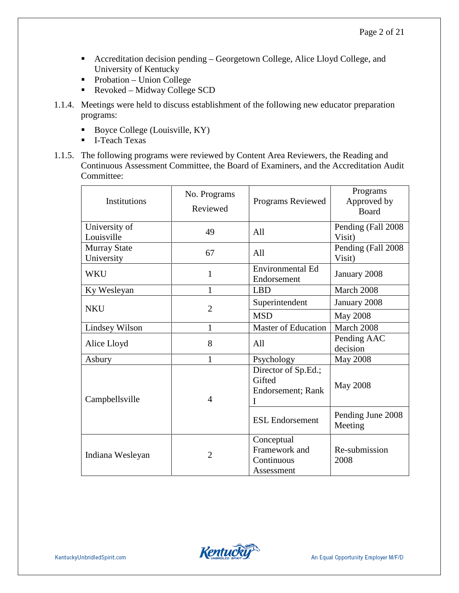- Accreditation decision pending Georgetown College, Alice Lloyd College, and University of Kentucky
- $\blacksquare$  Probation Union College
- Revoked Midway College SCD
- 1.1.4. Meetings were held to discuss establishment of the following new educator preparation programs:
	- Boyce College (Louisville, KY)
	- **I**-Teach Texas
- 1.1.5. The following programs were reviewed by Content Area Reviewers, the Reading and Continuous Assessment Committee, the Board of Examiners, and the Accreditation Audit Committee:

| <b>Institutions</b>               | No. Programs<br>Programs Reviewed<br>Reviewed |                                                         | Programs<br>Approved by<br><b>Board</b> |
|-----------------------------------|-----------------------------------------------|---------------------------------------------------------|-----------------------------------------|
| University of<br>Louisville       | 49                                            | All                                                     | Pending (Fall 2008)<br>Visit)           |
| <b>Murray State</b><br>University | 67                                            | All                                                     | Pending (Fall 2008)<br>Visit)           |
| <b>WKU</b>                        | $\mathbf{1}$                                  | <b>Environmental Ed</b><br>Endorsement                  | January 2008                            |
| Ky Wesleyan                       | 1                                             | <b>LBD</b>                                              | March 2008                              |
| <b>NKU</b>                        | $\overline{2}$                                | Superintendent                                          | January 2008                            |
|                                   |                                               | <b>MSD</b>                                              | <b>May 2008</b>                         |
| Lindsey Wilson                    | 1                                             | <b>Master of Education</b>                              | March 2008                              |
| Alice Lloyd                       | 8                                             | A11                                                     | Pending AAC<br>decision                 |
| Asbury                            | 1                                             | Psychology                                              | <b>May 2008</b>                         |
| Campbellsville                    | 4                                             | Director of Sp.Ed.;<br>Gifted<br>Endorsement; Rank<br>I | <b>May 2008</b>                         |
|                                   |                                               | <b>ESL Endorsement</b>                                  | Pending June 2008<br>Meeting            |
| Indiana Wesleyan                  | $\overline{2}$                                | Conceptual<br>Framework and<br>Continuous<br>Assessment | Re-submission<br>2008                   |

**Kentucky**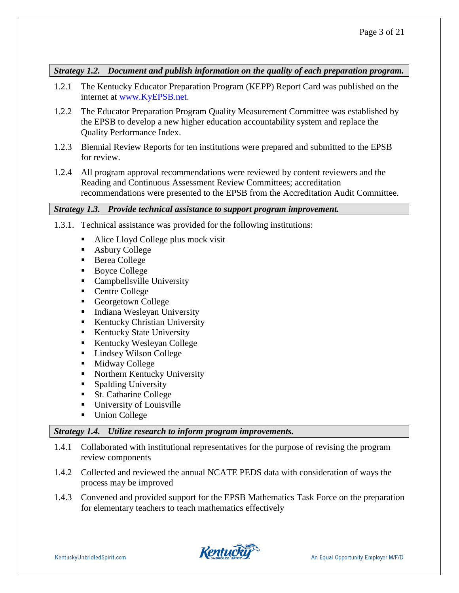*Strategy 1.2. Document and publish information on the quality of each preparation program.*

- 1.2.1 The Kentucky Educator Preparation Program (KEPP) Report Card was published on the internet at [www.KyEPSB.net.](http://www.kyepsb.net/)
- 1.2.2 The Educator Preparation Program Quality Measurement Committee was established by the EPSB to develop a new higher education accountability system and replace the Quality Performance Index.
- 1.2.3 Biennial Review Reports for ten institutions were prepared and submitted to the EPSB for review.
- 1.2.4 All program approval recommendations were reviewed by content reviewers and the Reading and Continuous Assessment Review Committees; accreditation recommendations were presented to the EPSB from the Accreditation Audit Committee.

#### *Strategy 1.3. Provide technical assistance to support program improvement.*

1.3.1. Technical assistance was provided for the following institutions:

- Alice Lloyd College plus mock visit
- Asbury College
- Berea College
- Boyce College
- Campbellsville University
- Centre College
- Georgetown College
- Indiana Wesleyan University
- Kentucky Christian University
- Kentucky State University
- Kentucky Wesleyan College
- Lindsey Wilson College
- $\blacksquare$  Midway College
- Northern Kentucky University
- Spalding University
- St. Catharine College
- **University of Louisville**
- Union College

### *Strategy 1.4. Utilize research to inform program improvements.*

- 1.4.1 Collaborated with institutional representatives for the purpose of revising the program review components
- 1.4.2 Collected and reviewed the annual NCATE PEDS data with consideration of ways the process may be improved
- 1.4.3 Convened and provided support for the EPSB Mathematics Task Force on the preparation for elementary teachers to teach mathematics effectively

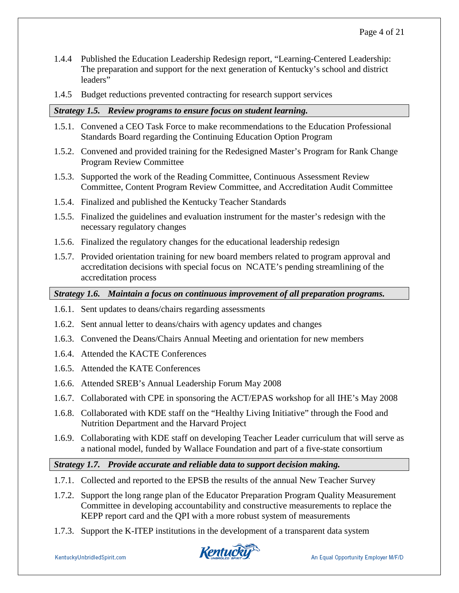- 1.4.4 Published the Education Leadership Redesign report, "Learning-Centered Leadership: The preparation and support for the next generation of Kentucky's school and district leaders"
- 1.4.5 Budget reductions prevented contracting for research support services

#### *Strategy 1.5. Review programs to ensure focus on student learning.*

- 1.5.1. Convened a CEO Task Force to make recommendations to the Education Professional Standards Board regarding the Continuing Education Option Program
- 1.5.2. Convened and provided training for the Redesigned Master's Program for Rank Change Program Review Committee
- 1.5.3. Supported the work of the Reading Committee, Continuous Assessment Review Committee, Content Program Review Committee, and Accreditation Audit Committee
- 1.5.4. Finalized and published the Kentucky Teacher Standards
- 1.5.5. Finalized the guidelines and evaluation instrument for the master's redesign with the necessary regulatory changes
- 1.5.6. Finalized the regulatory changes for the educational leadership redesign
- 1.5.7. Provided orientation training for new board members related to program approval and accreditation decisions with special focus on NCATE's pending streamlining of the accreditation process

*Strategy 1.6. Maintain a focus on continuous improvement of all preparation programs.* 

- 1.6.1. Sent updates to deans/chairs regarding assessments
- 1.6.2. Sent annual letter to deans/chairs with agency updates and changes
- 1.6.3. Convened the Deans/Chairs Annual Meeting and orientation for new members
- 1.6.4. Attended the KACTE Conferences
- 1.6.5. Attended the KATE Conferences
- 1.6.6. Attended SREB's Annual Leadership Forum May 2008
- 1.6.7. Collaborated with CPE in sponsoring the ACT/EPAS workshop for all IHE's May 2008
- 1.6.8. Collaborated with KDE staff on the "Healthy Living Initiative" through the Food and Nutrition Department and the Harvard Project
- 1.6.9. Collaborating with KDE staff on developing Teacher Leader curriculum that will serve as a national model, funded by Wallace Foundation and part of a five-state consortium

#### *Strategy 1.7. Provide accurate and reliable data to support decision making.*

- 1.7.1. Collected and reported to the EPSB the results of the annual New Teacher Survey
- 1.7.2. Support the long range plan of the Educator Preparation Program Quality Measurement Committee in developing accountability and constructive measurements to replace the KEPP report card and the QPI with a more robust system of measurements
- 1.7.3. Support the K-ITEP institutions in the development of a transparent data system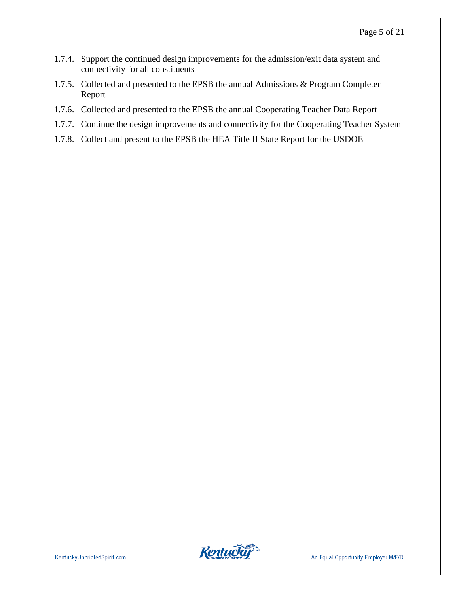- 1.7.4. Support the continued design improvements for the admission/exit data system and connectivity for all constituents
- 1.7.5. Collected and presented to the EPSB the annual Admissions & Program Completer Report
- 1.7.6. Collected and presented to the EPSB the annual Cooperating Teacher Data Report
- 1.7.7. Continue the design improvements and connectivity for the Cooperating Teacher System
- 1.7.8. Collect and present to the EPSB the HEA Title II State Report for the USDOE

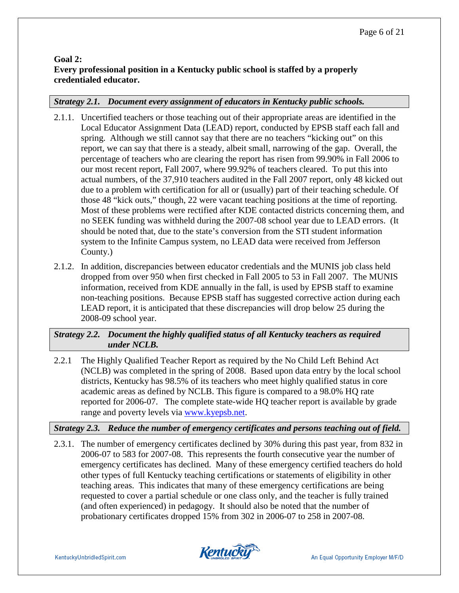## **Goal 2: Every professional position in a Kentucky public school is staffed by a properly credentialed educator.**

### *Strategy 2.1. Document every assignment of educators in Kentucky public schools.*

- 2.1.1. Uncertified teachers or those teaching out of their appropriate areas are identified in the Local Educator Assignment Data (LEAD) report, conducted by EPSB staff each fall and spring. Although we still cannot say that there are no teachers "kicking out" on this report, we can say that there is a steady, albeit small, narrowing of the gap. Overall, the percentage of teachers who are clearing the report has risen from 99.90% in Fall 2006 to our most recent report, Fall 2007, where 99.92% of teachers cleared. To put this into actual numbers, of the 37,910 teachers audited in the Fall 2007 report, only 48 kicked out due to a problem with certification for all or (usually) part of their teaching schedule. Of those 48 "kick outs," though, 22 were vacant teaching positions at the time of reporting. Most of these problems were rectified after KDE contacted districts concerning them, and no SEEK funding was withheld during the 2007-08 school year due to LEAD errors. (It should be noted that, due to the state's conversion from the STI student information system to the Infinite Campus system, no LEAD data were received from Jefferson County.)
- 2.1.2. In addition, discrepancies between educator credentials and the MUNIS job class held dropped from over 950 when first checked in Fall 2005 to 53 in Fall 2007. The MUNIS information, received from KDE annually in the fall, is used by EPSB staff to examine non-teaching positions. Because EPSB staff has suggested corrective action during each LEAD report, it is anticipated that these discrepancies will drop below 25 during the 2008-09 school year.

### *Strategy 2.2. Document the highly qualified status of all Kentucky teachers as required under NCLB.*

2.2.1 The Highly Qualified Teacher Report as required by the No Child Left Behind Act (NCLB) was completed in the spring of 2008. Based upon data entry by the local school districts, Kentucky has 98.5% of its teachers who meet highly qualified status in core academic areas as defined by NCLB. This figure is compared to a 98.0% HQ rate reported for 2006-07. The complete state-wide HQ teacher report is available by grade range and poverty levels via [www.kyepsb.net.](http://www.kyepsb.net/)

## *Strategy 2.3. Reduce the number of emergency certificates and persons teaching out of field.*

2.3.1. The number of emergency certificates declined by 30% during this past year, from 832 in 2006-07 to 583 for 2007-08. This represents the fourth consecutive year the number of emergency certificates has declined. Many of these emergency certified teachers do hold other types of full Kentucky teaching certifications or statements of eligibility in other teaching areas. This indicates that many of these emergency certifications are being requested to cover a partial schedule or one class only, and the teacher is fully trained (and often experienced) in pedagogy. It should also be noted that the number of probationary certificates dropped 15% from 302 in 2006-07 to 258 in 2007-08.

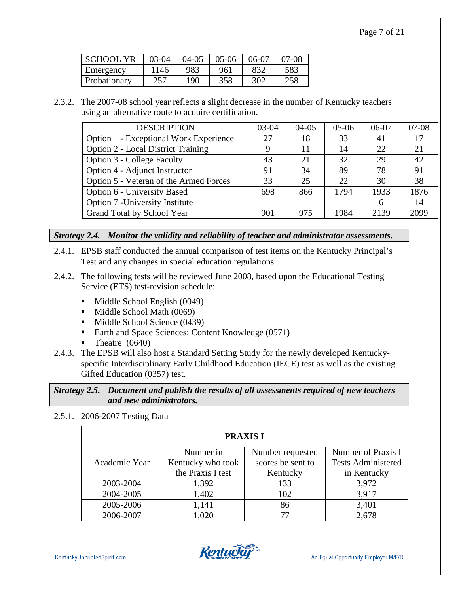| <b>SCHOOL YR</b> | $03-04$ | $04-05$ | $05-06$ | 06-07 | 07-08 |
|------------------|---------|---------|---------|-------|-------|
| Emergency        | 1146    | 983     | 961     | 832   | 583   |
| Probationary     | 257     | 190     | 358     | 302   | 258   |

2.3.2. The 2007-08 school year reflects a slight decrease in the number of Kentucky teachers using an alternative route to acquire certification.

| <b>DESCRIPTION</b>                        | $03-04$ | $04-05$ | $05-06$ | 06-07 | $07 - 08$ |
|-------------------------------------------|---------|---------|---------|-------|-----------|
| Option 1 - Exceptional Work Experience    | 27      | 18      | 33      | 41    | 17        |
| <b>Option 2 - Local District Training</b> | 9       | 11      | 14      | 22    | 21        |
| <b>Option 3 - College Faculty</b>         | 43      | 21      | 32      | 29    | 42        |
| Option 4 - Adjunct Instructor             | 91      | 34      | 89      | 78    | 91        |
| Option 5 - Veteran of the Armed Forces    | 33      | 25      | 22      | 30    | 38        |
| Option 6 - University Based               | 698     | 866     | 1794    | 1933  | 1876      |
| Option 7 - University Institute           |         |         |         | 6     | 14        |
| Grand Total by School Year                | 901     | 975     | 1984    | 2139  | 2099      |

#### *Strategy 2.4. Monitor the validity and reliability of teacher and administrator assessments.*

- 2.4.1. EPSB staff conducted the annual comparison of test items on the Kentucky Principal's Test and any changes in special education regulations.
- 2.4.2. The following tests will be reviewed June 2008, based upon the Educational Testing Service (ETS) test-revision schedule:
	- $\blacksquare$  Middle School English (0049)
	- **Middle School Math (0069)**
	- Middle School Science (0439)
	- Earth and Space Sciences: Content Knowledge (0571)
	- $\blacksquare$  Theatre (0640)
- 2.4.3. The EPSB will also host a Standard Setting Study for the newly developed Kentuckyspecific Interdisciplinary Early Childhood Education (IECE) test as well as the existing Gifted Education (0357) test.

#### *Strategy 2.5. Document and publish the results of all assessments required of new teachers and new administrators.*

#### 2.5.1. 2006-2007 Testing Data

| <b>PRAXIS I</b> |                   |                   |                           |  |  |
|-----------------|-------------------|-------------------|---------------------------|--|--|
|                 | Number in         | Number requested  | Number of Praxis I        |  |  |
| Academic Year   | Kentucky who took | scores be sent to | <b>Tests Administered</b> |  |  |
|                 | the Praxis I test | Kentucky          | in Kentucky               |  |  |
| 2003-2004       | 1,392             | 133               | 3,972                     |  |  |
| 2004-2005       | 1,402             | 102               | 3,917                     |  |  |
| 2005-2006       | 1,141             | 86                | 3,401                     |  |  |
| 2006-2007       | 1,020             | 77                | 2,678                     |  |  |

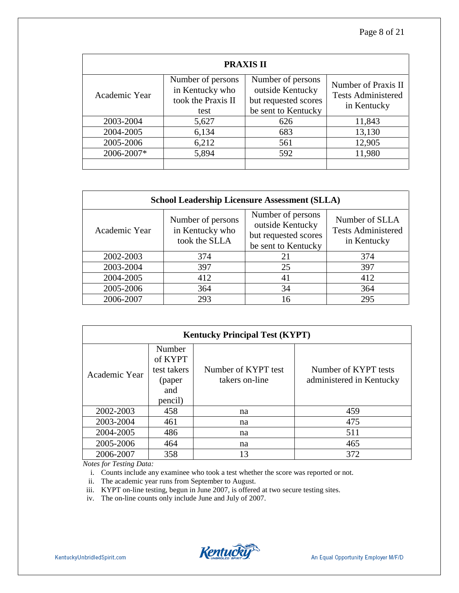| <b>PRAXIS II</b> |                                                                    |                                                                                      |                                                                 |  |  |
|------------------|--------------------------------------------------------------------|--------------------------------------------------------------------------------------|-----------------------------------------------------------------|--|--|
| Academic Year    | Number of persons<br>in Kentucky who<br>took the Praxis II<br>test | Number of persons<br>outside Kentucky<br>but requested scores<br>be sent to Kentucky | Number of Praxis II<br><b>Tests Administered</b><br>in Kentucky |  |  |
| 2003-2004        | 5,627                                                              | 626                                                                                  | 11,843                                                          |  |  |
| 2004-2005        | 6,134                                                              | 683                                                                                  | 13,130                                                          |  |  |
| 2005-2006        | 6,212                                                              | 561                                                                                  | 12,905                                                          |  |  |
| 2006-2007*       | 5,894                                                              | 592                                                                                  | 11,980                                                          |  |  |
|                  |                                                                    |                                                                                      |                                                                 |  |  |

| <b>School Leadership Licensure Assessment (SLLA)</b> |                                                       |                                                                                      |                                                            |  |  |
|------------------------------------------------------|-------------------------------------------------------|--------------------------------------------------------------------------------------|------------------------------------------------------------|--|--|
| Academic Year                                        | Number of persons<br>in Kentucky who<br>took the SLLA | Number of persons<br>outside Kentucky<br>but requested scores<br>be sent to Kentucky | Number of SLLA<br><b>Tests Administered</b><br>in Kentucky |  |  |
| 2002-2003                                            | 374                                                   | 21                                                                                   | 374                                                        |  |  |
| 2003-2004                                            | 397                                                   | 25                                                                                   | 397                                                        |  |  |
| 2004-2005                                            | 412                                                   | 41                                                                                   | 412                                                        |  |  |
| 2005-2006                                            | 364                                                   | 34                                                                                   | 364                                                        |  |  |
| 2006-2007                                            | 293                                                   | 16                                                                                   | 295                                                        |  |  |

| <b>Kentucky Principal Test (KYPT)</b> |                                                              |                                       |                                                  |  |  |
|---------------------------------------|--------------------------------------------------------------|---------------------------------------|--------------------------------------------------|--|--|
| Academic Year                         | Number<br>of KYPT<br>test takers<br>(paper<br>and<br>pencil) | Number of KYPT test<br>takers on-line | Number of KYPT tests<br>administered in Kentucky |  |  |
| 2002-2003                             | 458                                                          | na                                    | 459                                              |  |  |
| 2003-2004                             | 461                                                          | na                                    | 475                                              |  |  |
| 2004-2005                             | 486                                                          | na                                    | 511                                              |  |  |
| 2005-2006                             | 464                                                          | na                                    | 465                                              |  |  |
| 2006-2007                             | 358                                                          | 13                                    | 372                                              |  |  |

*Notes for Testing Data:*

i. Counts include any examinee who took a test whether the score was reported or not.

ii. The academic year runs from September to August.

iii. KYPT on-line testing, begun in June 2007, is offered at two secure testing sites.

iv. The on-line counts only include June and July of 2007.

**Kentucky**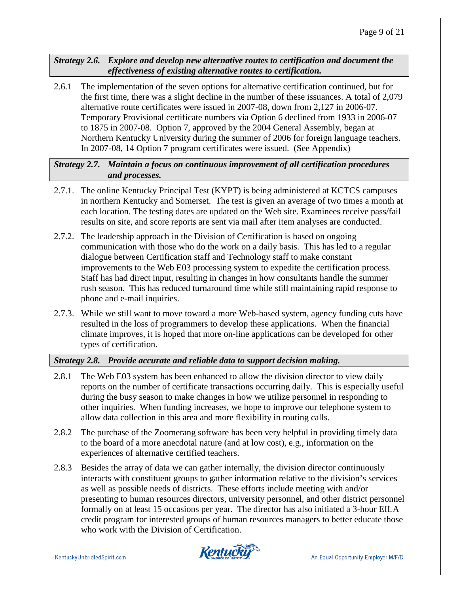*Strategy 2.6. Explore and develop new alternative routes to certification and document the effectiveness of existing alternative routes to certification.* 

2.6.1 The implementation of the seven options for alternative certification continued, but for the first time, there was a slight decline in the number of these issuances. A total of 2,079 alternative route certificates were issued in 2007-08, down from 2,127 in 2006-07. Temporary Provisional certificate numbers via Option 6 declined from 1933 in 2006-07 to 1875 in 2007-08. Option 7, approved by the 2004 General Assembly, began at Northern Kentucky University during the summer of 2006 for foreign language teachers. In 2007-08, 14 Option 7 program certificates were issued. (See Appendix)

*Strategy 2.7. Maintain a focus on continuous improvement of all certification procedures and processes.*

- 2.7.1. The online Kentucky Principal Test (KYPT) is being administered at KCTCS campuses in northern Kentucky and Somerset. The test is given an average of two times a month at each location. The testing dates are updated on the Web site. Examinees receive pass/fail results on site, and score reports are sent via mail after item analyses are conducted.
- 2.7.2. The leadership approach in the Division of Certification is based on ongoing communication with those who do the work on a daily basis. This has led to a regular dialogue between Certification staff and Technology staff to make constant improvements to the Web E03 processing system to expedite the certification process. Staff has had direct input, resulting in changes in how consultants handle the summer rush season. This has reduced turnaround time while still maintaining rapid response to phone and e-mail inquiries.
- 2.7.3. While we still want to move toward a more Web-based system, agency funding cuts have resulted in the loss of programmers to develop these applications. When the financial climate improves, it is hoped that more on-line applications can be developed for other types of certification.

### *Strategy 2.8. Provide accurate and reliable data to support decision making.*

- 2.8.1 The Web E03 system has been enhanced to allow the division director to view daily reports on the number of certificate transactions occurring daily. This is especially useful during the busy season to make changes in how we utilize personnel in responding to other inquiries. When funding increases, we hope to improve our telephone system to allow data collection in this area and more flexibility in routing calls.
- 2.8.2 The purchase of the Zoomerang software has been very helpful in providing timely data to the board of a more anecdotal nature (and at low cost), e.g., information on the experiences of alternative certified teachers.
- 2.8.3 Besides the array of data we can gather internally, the division director continuously interacts with constituent groups to gather information relative to the division's services as well as possible needs of districts. These efforts include meeting with and/or presenting to human resources directors, university personnel, and other district personnel formally on at least 15 occasions per year. The director has also initiated a 3-hour EILA credit program for interested groups of human resources managers to better educate those who work with the Division of Certification.

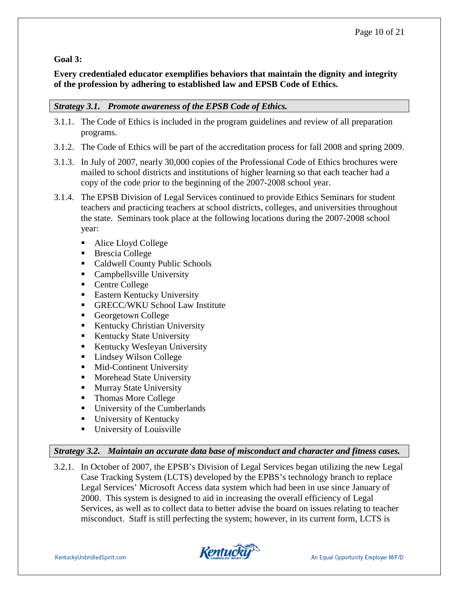## **Goal 3:**

## **Every credentialed educator exemplifies behaviors that maintain the dignity and integrity of the profession by adhering to established law and EPSB Code of Ethics.**

## *Strategy 3.1. Promote awareness of the EPSB Code of Ethics.*

- 3.1.1. The Code of Ethics is included in the program guidelines and review of all preparation programs.
- 3.1.2. The Code of Ethics will be part of the accreditation process for fall 2008 and spring 2009.
- 3.1.3. In July of 2007, nearly 30,000 copies of the Professional Code of Ethics brochures were mailed to school districts and institutions of higher learning so that each teacher had a copy of the code prior to the beginning of the 2007-2008 school year.
- 3.1.4. The EPSB Division of Legal Services continued to provide Ethics Seminars for student teachers and practicing teachers at school districts, colleges, and universities throughout the state. Seminars took place at the following locations during the 2007-2008 school year:
	- Alice Lloyd College
	- Brescia College
	- Caldwell County Public Schools
	- **Campbellsville University**
	- Centre College
	- **Eastern Kentucky University**
	- GRECC/WKU School Law Institute
	- Georgetown College
	- Kentucky Christian University
	- Kentucky State University
	- **Kentucky Wesleyan University**
	- Lindsey Wilson College
	- **Mid-Continent University**
	- **Morehead State University**
	- **Murray State University**
	- Thomas More College
	- University of the Cumberlands
	- **University of Kentucky**
	- **University of Louisville**

### *Strategy 3.2. Maintain an accurate data base of misconduct and character and fitness cases.*

3.2.1. In October of 2007, the EPSB's Division of Legal Services began utilizing the new Legal Case Tracking System (LCTS) developed by the EPBS's technology branch to replace Legal Services' Microsoft Access data system which had been in use since January of 2000. This system is designed to aid in increasing the overall efficiency of Legal Services, as well as to collect data to better advise the board on issues relating to teacher misconduct. Staff is still perfecting the system; however, in its current form, LCTS is

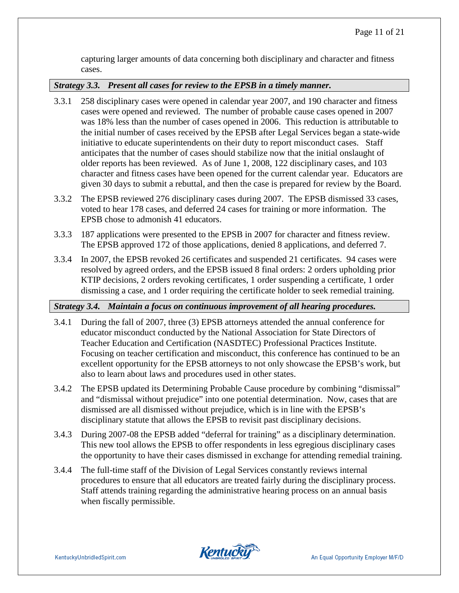capturing larger amounts of data concerning both disciplinary and character and fitness cases.

#### *Strategy 3.3. Present all cases for review to the EPSB in a timely manner.*

- 3.3.1 258 disciplinary cases were opened in calendar year 2007, and 190 character and fitness cases were opened and reviewed. The number of probable cause cases opened in 2007 was 18% less than the number of cases opened in 2006. This reduction is attributable to the initial number of cases received by the EPSB after Legal Services began a state-wide initiative to educate superintendents on their duty to report misconduct cases. Staff anticipates that the number of cases should stabilize now that the initial onslaught of older reports has been reviewed. As of June 1, 2008, 122 disciplinary cases, and 103 character and fitness cases have been opened for the current calendar year. Educators are given 30 days to submit a rebuttal, and then the case is prepared for review by the Board.
- 3.3.2 The EPSB reviewed 276 disciplinary cases during 2007. The EPSB dismissed 33 cases, voted to hear 178 cases, and deferred 24 cases for training or more information. The EPSB chose to admonish 41 educators.
- 3.3.3 187 applications were presented to the EPSB in 2007 for character and fitness review. The EPSB approved 172 of those applications, denied 8 applications, and deferred 7.
- 3.3.4 In 2007, the EPSB revoked 26 certificates and suspended 21 certificates. 94 cases were resolved by agreed orders, and the EPSB issued 8 final orders: 2 orders upholding prior KTIP decisions, 2 orders revoking certificates, 1 order suspending a certificate, 1 order dismissing a case, and 1 order requiring the certificate holder to seek remedial training.

### *Strategy 3.4. Maintain a focus on continuous improvement of all hearing procedures.*

- 3.4.1 During the fall of 2007, three (3) EPSB attorneys attended the annual conference for educator misconduct conducted by the National Association for State Directors of Teacher Education and Certification (NASDTEC) Professional Practices Institute. Focusing on teacher certification and misconduct, this conference has continued to be an excellent opportunity for the EPSB attorneys to not only showcase the EPSB's work, but also to learn about laws and procedures used in other states.
- 3.4.2 The EPSB updated its Determining Probable Cause procedure by combining "dismissal" and "dismissal without prejudice" into one potential determination. Now, cases that are dismissed are all dismissed without prejudice, which is in line with the EPSB's disciplinary statute that allows the EPSB to revisit past disciplinary decisions.
- 3.4.3 During 2007-08 the EPSB added "deferral for training" as a disciplinary determination. This new tool allows the EPSB to offer respondents in less egregious disciplinary cases the opportunity to have their cases dismissed in exchange for attending remedial training.
- 3.4.4 The full-time staff of the Division of Legal Services constantly reviews internal procedures to ensure that all educators are treated fairly during the disciplinary process. Staff attends training regarding the administrative hearing process on an annual basis when fiscally permissible.

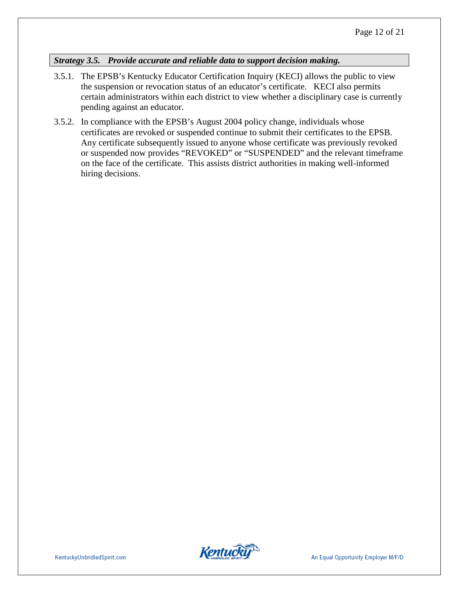## *Strategy 3.5. Provide accurate and reliable data to support decision making.*

- 3.5.1. The EPSB's Kentucky Educator Certification Inquiry (KECI) allows the public to view the suspension or revocation status of an educator's certificate. KECI also permits certain administrators within each district to view whether a disciplinary case is currently pending against an educator.
- 3.5.2. In compliance with the EPSB's August 2004 policy change, individuals whose certificates are revoked or suspended continue to submit their certificates to the EPSB. Any certificate subsequently issued to anyone whose certificate was previously revoked or suspended now provides "REVOKED" or "SUSPENDED" and the relevant timeframe on the face of the certificate. This assists district authorities in making well-informed hiring decisions.

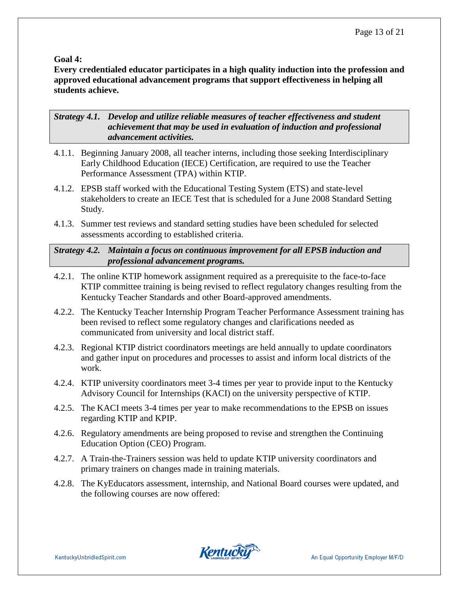#### **Goal 4:**

**Every credentialed educator participates in a high quality induction into the profession and approved educational advancement programs that support effectiveness in helping all students achieve.**

*Strategy 4.1. Develop and utilize reliable measures of teacher effectiveness and student achievement that may be used in evaluation of induction and professional advancement activities.*

- 4.1.1. Beginning January 2008, all teacher interns, including those seeking Interdisciplinary Early Childhood Education (IECE) Certification, are required to use the Teacher Performance Assessment (TPA) within KTIP.
- 4.1.2. EPSB staff worked with the Educational Testing System (ETS) and state-level stakeholders to create an IECE Test that is scheduled for a June 2008 Standard Setting Study.
- 4.1.3. Summer test reviews and standard setting studies have been scheduled for selected assessments according to established criteria.

*Strategy 4.2. Maintain a focus on continuous improvement for all EPSB induction and professional advancement programs.*

- 4.2.1. The online KTIP homework assignment required as a prerequisite to the face-to-face KTIP committee training is being revised to reflect regulatory changes resulting from the Kentucky Teacher Standards and other Board-approved amendments.
- 4.2.2. The Kentucky Teacher Internship Program Teacher Performance Assessment training has been revised to reflect some regulatory changes and clarifications needed as communicated from university and local district staff.
- 4.2.3. Regional KTIP district coordinators meetings are held annually to update coordinators and gather input on procedures and processes to assist and inform local districts of the work.
- 4.2.4. KTIP university coordinators meet 3-4 times per year to provide input to the Kentucky Advisory Council for Internships (KACI) on the university perspective of KTIP.
- 4.2.5. The KACI meets 3-4 times per year to make recommendations to the EPSB on issues regarding KTIP and KPIP.
- 4.2.6. Regulatory amendments are being proposed to revise and strengthen the Continuing Education Option (CEO) Program.
- 4.2.7. A Train-the-Trainers session was held to update KTIP university coordinators and primary trainers on changes made in training materials.
- 4.2.8. The KyEducators assessment, internship, and National Board courses were updated, and the following courses are now offered:

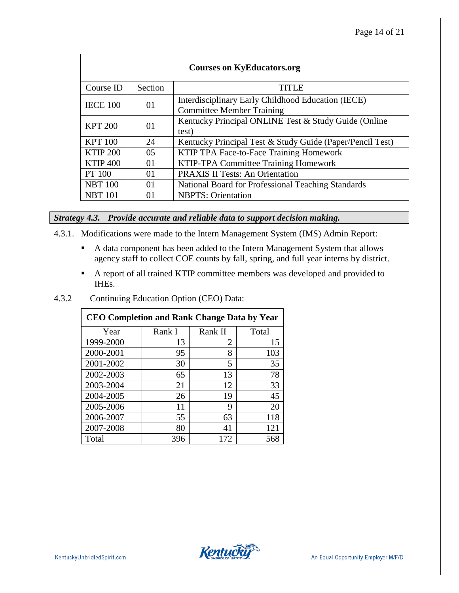| <b>Courses on KyEducators.org</b> |         |                                                                                        |  |  |
|-----------------------------------|---------|----------------------------------------------------------------------------------------|--|--|
| Course ID                         | Section | <b>TITLE</b>                                                                           |  |  |
| <b>IECE 100</b>                   | 01      | Interdisciplinary Early Childhood Education (IECE)<br><b>Committee Member Training</b> |  |  |
| <b>KPT 200</b>                    | 01      | Kentucky Principal ONLINE Test & Study Guide (Online<br>test)                          |  |  |
| <b>KPT</b> 100                    | 24      | Kentucky Principal Test & Study Guide (Paper/Pencil Test)                              |  |  |
| <b>KTIP 200</b>                   | 05      | KTIP TPA Face-to-Face Training Homework                                                |  |  |
| <b>KTIP 400</b>                   | 01      | KTIP-TPA Committee Training Homework                                                   |  |  |
| <b>PT</b> 100                     | 01      | <b>PRAXIS II Tests: An Orientation</b>                                                 |  |  |
| <b>NBT 100</b>                    | 01      | National Board for Professional Teaching Standards                                     |  |  |
| <b>NBT 101</b>                    | 01      | <b>NBPTS: Orientation</b>                                                              |  |  |

#### *Strategy 4.3. Provide accurate and reliable data to support decision making.*

- 4.3.1. Modifications were made to the Intern Management System (IMS) Admin Report:
	- A data component has been added to the Intern Management System that allows agency staff to collect COE counts by fall, spring, and full year interns by district.
	- A report of all trained KTIP committee members was developed and provided to IHEs.

#### 4.3.2 Continuing Education Option (CEO) Data:

| <b>CEO Completion and Rank Change Data by Year</b> |        |         |       |  |  |
|----------------------------------------------------|--------|---------|-------|--|--|
| Year                                               | Rank I | Rank II | Total |  |  |
| 1999-2000                                          | 13     | 2       | 15    |  |  |
| 2000-2001                                          | 95     | 8       | 103   |  |  |
| 2001-2002                                          | 30     | 5       | 35    |  |  |
| 2002-2003                                          | 65     | 13      | 78    |  |  |
| 2003-2004                                          | 21     | 12      | 33    |  |  |
| 2004-2005                                          | 26     | 19      | 45    |  |  |
| 2005-2006                                          | 11     | 9       | 20    |  |  |
| 2006-2007                                          | 55     | 63      | 118   |  |  |
| 2007-2008                                          | 80     | 41      | 121   |  |  |
| Total                                              | 396    | 172     | 568   |  |  |

**Kentucky**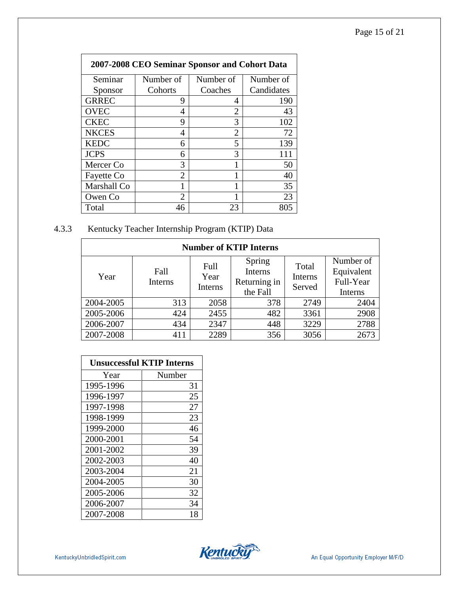| 2007-2008 CEO Seminar Sponsor and Cohort Data |                |                |            |  |  |
|-----------------------------------------------|----------------|----------------|------------|--|--|
| Seminar                                       | Number of      | Number of      | Number of  |  |  |
| Sponsor                                       | Cohorts        | Coaches        | Candidates |  |  |
| <b>GRREC</b>                                  | 9              | 4              | 190        |  |  |
| <b>OVEC</b>                                   | 4              | $\overline{2}$ | 43         |  |  |
| <b>CKEC</b>                                   | 9              | 3              | 102        |  |  |
| <b>NKCES</b>                                  | 4              | 2              | 72         |  |  |
| <b>KEDC</b>                                   | 6              | 5              | 139        |  |  |
| <b>JCPS</b>                                   | 6              | 3              | 111        |  |  |
| Mercer Co                                     | 3              |                | 50         |  |  |
| Fayette Co                                    | $\mathfrak{D}$ |                | 40         |  |  |
| Marshall Co                                   | 1              | 1              | 35         |  |  |
| Owen Co                                       | $\mathfrak{D}$ | 1              | 23         |  |  |
| Total                                         | 46             | 23             | 805        |  |  |

## 4.3.3 Kentucky Teacher Internship Program (KTIP) Data

| <b>Number of KTIP Interns</b> |                 |                         |                                               |                            |                                                 |  |
|-------------------------------|-----------------|-------------------------|-----------------------------------------------|----------------------------|-------------------------------------------------|--|
| Year                          | Fall<br>Interns | Full<br>Year<br>Interns | Spring<br>Interns<br>Returning in<br>the Fall | Total<br>Interns<br>Served | Number of<br>Equivalent<br>Full-Year<br>Interns |  |
| 2004-2005                     | 313             | 2058                    | 378                                           | 2749                       | 2404                                            |  |
| 2005-2006                     | 424             | 2455                    | 482                                           | 3361                       | 2908                                            |  |
| 2006-2007                     | 434             | 2347                    | 448                                           | 3229                       | 2788                                            |  |
| 2007-2008                     | 411             | 2289                    | 356                                           | 3056                       | 2673                                            |  |

| <b>Unsuccessful KTIP Interns</b> |        |  |  |
|----------------------------------|--------|--|--|
| Year                             | Number |  |  |
| 1995-1996                        | 31     |  |  |
| 1996-1997                        | 25     |  |  |
| 1997-1998                        | 27     |  |  |
| 1998-1999                        | 23     |  |  |
| 1999-2000                        | 46     |  |  |
| 2000-2001                        | 54     |  |  |
| 2001-2002                        | 39     |  |  |
| 2002-2003                        | 40     |  |  |
| 2003-2004                        | 21     |  |  |
| 2004-2005                        | 30     |  |  |
| 2005-2006                        | 32     |  |  |
| 2006-2007                        | 34     |  |  |
| 2007-2008                        | 18     |  |  |

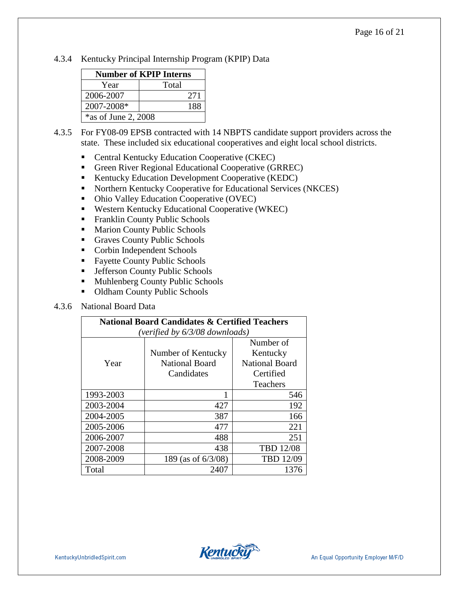4.3.4 Kentucky Principal Internship Program (KPIP) Data

| <b>Number of KPIP Interns</b> |       |  |  |
|-------------------------------|-------|--|--|
| Year                          | Total |  |  |
| 2006-2007                     | 271   |  |  |
| 2007-2008*                    | 188   |  |  |
| $*$ as of June 2, 2008        |       |  |  |

- 4.3.5 For FY08-09 EPSB contracted with 14 NBPTS candidate support providers across the state. These included six educational cooperatives and eight local school districts.
	- Central Kentucky Education Cooperative (CKEC)
	- Green River Regional Educational Cooperative (GRREC)
	- Kentucky Education Development Cooperative (KEDC)
	- Northern Kentucky Cooperative for Educational Services (NKCES)
	- Ohio Valley Education Cooperative (OVEC)
	- Western Kentucky Educational Cooperative (WKEC)
	- **Franklin County Public Schools**
	- **Marion County Public Schools**
	- Graves County Public Schools
	- Corbin Independent Schools
	- **Fayette County Public Schools**
	- **F** Jefferson County Public Schools
	- **Muhlenberg County Public Schools**
	- Oldham County Public Schools

#### 4.3.6 National Board Data

| <b>National Board Candidates &amp; Certified Teachers</b> |                       |                       |  |  |  |  |
|-----------------------------------------------------------|-----------------------|-----------------------|--|--|--|--|
| (verified by 6/3/08 downloads)                            |                       |                       |  |  |  |  |
|                                                           |                       | Number of             |  |  |  |  |
|                                                           | Number of Kentucky    | Kentucky              |  |  |  |  |
| Year                                                      | <b>National Board</b> | <b>National Board</b> |  |  |  |  |
|                                                           | Candidates            | Certified             |  |  |  |  |
|                                                           |                       | Teachers              |  |  |  |  |
| 1993-2003                                                 | 1                     | 546                   |  |  |  |  |
| 2003-2004                                                 | 427                   | 192                   |  |  |  |  |
| 2004-2005                                                 | 387                   | 166                   |  |  |  |  |
| 2005-2006                                                 | 477                   | 221                   |  |  |  |  |
| 2006-2007                                                 | 488                   | 251                   |  |  |  |  |
| 2007-2008                                                 | 438                   | <b>TBD 12/08</b>      |  |  |  |  |
| 2008-2009                                                 | 189 (as of 6/3/08)    | TBD 12/09             |  |  |  |  |
| Total                                                     | 2407                  | 1376                  |  |  |  |  |

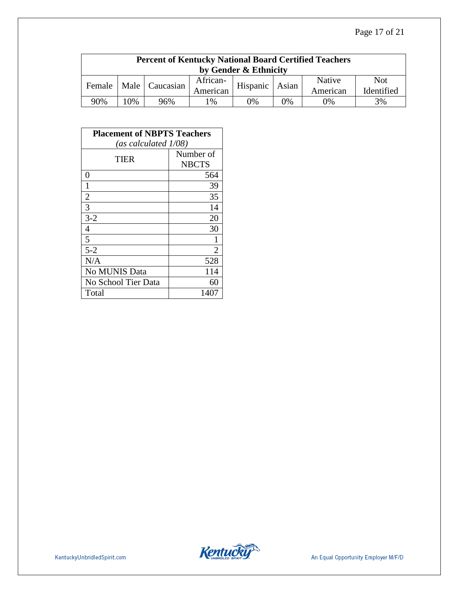| <b>Percent of Kentucky National Board Certified Teachers</b><br>by Gender & Ethnicity |     |                  |                      |          |       |                    |                          |  |
|---------------------------------------------------------------------------------------|-----|------------------|----------------------|----------|-------|--------------------|--------------------------|--|
| Female                                                                                |     | Male   Caucasian | African-<br>American | Hispanic | Asian | Native<br>American | <b>Not</b><br>Identified |  |
| 90%                                                                                   | .0% | 96%              | 1%                   | 0%       | 0%    | $0\%$              | 3%                       |  |

| <b>Placement of NBPTS Teachers</b> |              |  |  |  |
|------------------------------------|--------------|--|--|--|
| (as calculated 1/08)               |              |  |  |  |
| TIER                               | Number of    |  |  |  |
|                                    | <b>NBCTS</b> |  |  |  |
| 0                                  | 564          |  |  |  |
| 1                                  | 39           |  |  |  |
| $\overline{2}$                     | 35           |  |  |  |
| 3                                  | 14           |  |  |  |
| $3 - 2$                            | 20           |  |  |  |
| $\overline{4}$                     | 30           |  |  |  |
| 5                                  |              |  |  |  |
| $5 - 2$                            | 2            |  |  |  |
| N/A                                | 528          |  |  |  |
| No MUNIS Data                      | 114          |  |  |  |
| No School Tier Data                | 60           |  |  |  |
| Total                              | 1407         |  |  |  |

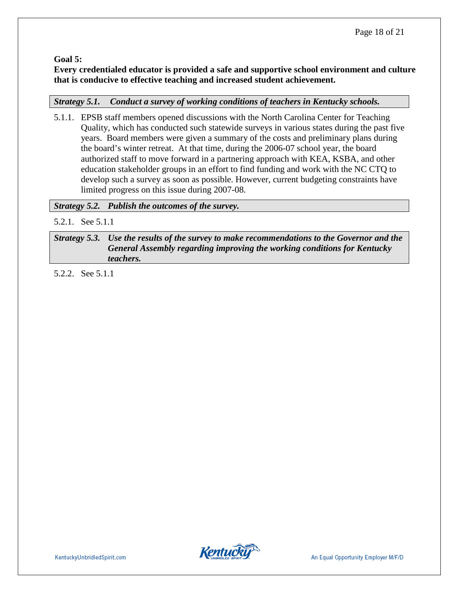**Goal 5:** 

**Every credentialed educator is provided a safe and supportive school environment and culture that is conducive to effective teaching and increased student achievement.**

## *Strategy 5.1. Conduct a survey of working conditions of teachers in Kentucky schools.*

5.1.1. EPSB staff members opened discussions with the North Carolina Center for Teaching Quality, which has conducted such statewide surveys in various states during the past five years. Board members were given a summary of the costs and preliminary plans during the board's winter retreat. At that time, during the 2006-07 school year, the board authorized staff to move forward in a partnering approach with KEA, KSBA, and other education stakeholder groups in an effort to find funding and work with the NC CTQ to develop such a survey as soon as possible. However, current budgeting constraints have limited progress on this issue during 2007-08.

*Strategy 5.2. Publish the outcomes of the survey.*

5.2.1. See 5.1.1

*Strategy 5.3. Use the results of the survey to make recommendations to the Governor and the General Assembly regarding improving the working conditions for Kentucky teachers.*

5.2.2. See 5.1.1

**Kentucky**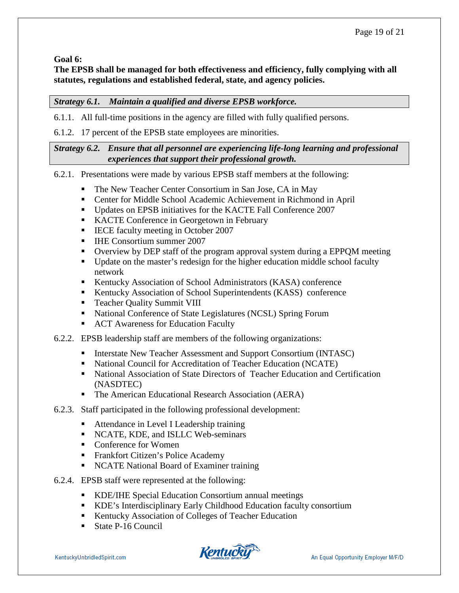**Goal 6:**

**The EPSB shall be managed for both effectiveness and efficiency, fully complying with all statutes, regulations and established federal, state, and agency policies.** 

### *Strategy 6.1. Maintain a qualified and diverse EPSB workforce.*

6.1.1. All full-time positions in the agency are filled with fully qualified persons.

6.1.2. 17 percent of the EPSB state employees are minorities.

#### *Strategy 6.2. Ensure that all personnel are experiencing life-long learning and professional experiences that support their professional growth.*

6.2.1. Presentations were made by various EPSB staff members at the following:

- The New Teacher Center Consortium in San Jose, CA in May
- Center for Middle School Academic Achievement in Richmond in April
- Updates on EPSB initiatives for the KACTE Fall Conference 2007
- KACTE Conference in Georgetown in February
- IECE faculty meeting in October 2007
- **IHE Consortium summer 2007**
- Overview by DEP staff of the program approval system during a EPPQM meeting
- Update on the master's redesign for the higher education middle school faculty network
- **Kentucky Association of School Administrators (KASA) conference**
- Kentucky Association of School Superintendents (KASS) conference
- **Teacher Quality Summit VIII**
- National Conference of State Legislatures (NCSL) Spring Forum
- ACT Awareness for Education Faculty
- 6.2.2. EPSB leadership staff are members of the following organizations:
	- **Interstate New Teacher Assessment and Support Consortium (INTASC)**
	- National Council for Accreditation of Teacher Education (NCATE)
	- National Association of State Directors of Teacher Education and Certification (NASDTEC)
	- The American Educational Research Association (AERA)
- 6.2.3. Staff participated in the following professional development:
	- Attendance in Level I Leadership training
	- NCATE, KDE, and ISLLC Web-seminars
	- Conference for Women
	- **Frankfort Citizen's Police Academy**
	- NCATE National Board of Examiner training
- 6.2.4. EPSB staff were represented at the following:
	- KDE/IHE Special Education Consortium annual meetings
	- KDE's Interdisciplinary Early Childhood Education faculty consortium
	- Kentucky Association of Colleges of Teacher Education
	- State P-16 Council

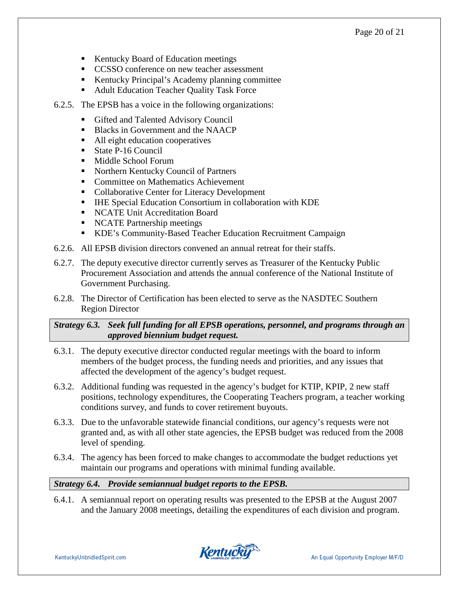- Kentucky Board of Education meetings
- CCSSO conference on new teacher assessment
- Kentucky Principal's Academy planning committee
- Adult Education Teacher Quality Task Force
- 6.2.5. The EPSB has a voice in the following organizations:
	- Gifted and Talented Advisory Council
	- Blacks in Government and the NAACP
	- All eight education cooperatives
	- State P-16 Council
	- Middle School Forum
	- Northern Kentucky Council of Partners
	- **Committee on Mathematics Achievement**
	- Collaborative Center for Literacy Development
	- IHE Special Education Consortium in collaboration with KDE
	- NCATE Unit Accreditation Board
	- NCATE Partnership meetings
	- KDE's Community-Based Teacher Education Recruitment Campaign
- 6.2.6. All EPSB division directors convened an annual retreat for their staffs.
- 6.2.7. The deputy executive director currently serves as Treasurer of the Kentucky Public Procurement Association and attends the annual conference of the National Institute of Government Purchasing.
- 6.2.8. The Director of Certification has been elected to serve as the NASDTEC Southern Region Director

*Strategy 6.3. Seek full funding for all EPSB operations, personnel, and programs through an approved biennium budget request.*

- 6.3.1. The deputy executive director conducted regular meetings with the board to inform members of the budget process, the funding needs and priorities, and any issues that affected the development of the agency's budget request.
- 6.3.2. Additional funding was requested in the agency's budget for KTIP, KPIP, 2 new staff positions, technology expenditures, the Cooperating Teachers program, a teacher working conditions survey, and funds to cover retirement buyouts.
- 6.3.3. Due to the unfavorable statewide financial conditions, our agency's requests were not granted and, as with all other state agencies, the EPSB budget was reduced from the 2008 level of spending.
- 6.3.4. The agency has been forced to make changes to accommodate the budget reductions yet maintain our programs and operations with minimal funding available.

### *Strategy 6.4. Provide semiannual budget reports to the EPSB.*

6.4.1. A semiannual report on operating results was presented to the EPSB at the August 2007 and the January 2008 meetings, detailing the expenditures of each division and program.